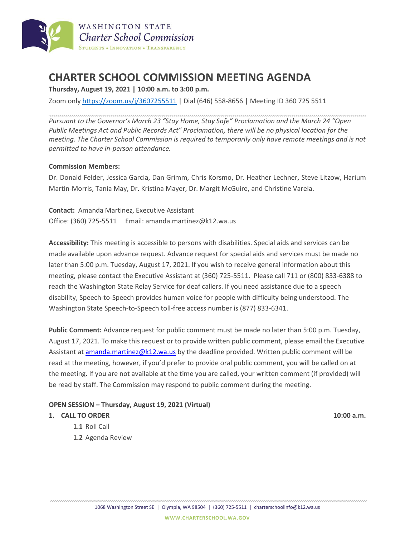

# **CHARTER SCHOOL COMMISSION MEETING AGENDA**

**Thursday, August 19, 2021 | 10:00 a.m. to 3:00 p.m.**

Zoom only <https://zoom.us/j/3607255511> | Dial (646) 558-8656 | Meeting ID 360 725 5511

*Pursuant to the Governor's March 23 "Stay Home, Stay Safe" Proclamation and the March 24 "Open Public Meetings Act and Public Records Act" Proclamation, there will be no physical location for the meeting. The Charter School Commission is required to temporarily only have remote meetings and is not permitted to have in-person attendance.*

### **Commission Members:**

Dr. Donald Felder, Jessica Garcia, Dan Grimm, Chris Korsmo, Dr. Heather Lechner, Steve Litzow, Harium Martin-Morris, Tania May, Dr. Kristina Mayer, Dr. Margit McGuire, and Christine Varela.

**Contact:** Amanda Martinez, Executive Assistant Office: (360) 725-5511 Email: amanda.martinez@k12.wa.us

**Accessibility:** This meeting is accessible to persons with disabilities. Special aids and services can be made available upon advance request. Advance request for special aids and services must be made no later than 5:00 p.m. Tuesday, August 17, 2021. If you wish to receive general information about this meeting, please contact the Executive Assistant at (360) 725-5511. Please call 711 or (800) 833-6388 to reach the Washington State Relay Service for deaf callers. If you need assistance due to a speech disability, Speech-to-Speech provides human voice for people with difficulty being understood. The Washington State Speech-to-Speech toll-free access number is (877) 833-6341.

**Public Comment:** Advance request for public comment must be made no later than 5:00 p.m. Tuesday, August 17, 2021. To make this request or to provide written public comment, please email the Executive Assistant at [amanda.martinez@k12.wa.us](mailto:amanda.martinez@k12.wa.us) by the deadline provided. Written public comment will be read at the meeting, however, if you'd prefer to provide oral public comment, you will be called on at the meeting. If you are not available at the time you are called, your written comment (if provided) will be read by staff. The Commission may respond to public comment during the meeting.

#### **OPEN SESSION – Thursday, August 19, 2021 (Virtual)**

#### **1. CALL TO ORDER 10:00 a.m.**

- **1.1** Roll Call
- **1.2** Agenda Review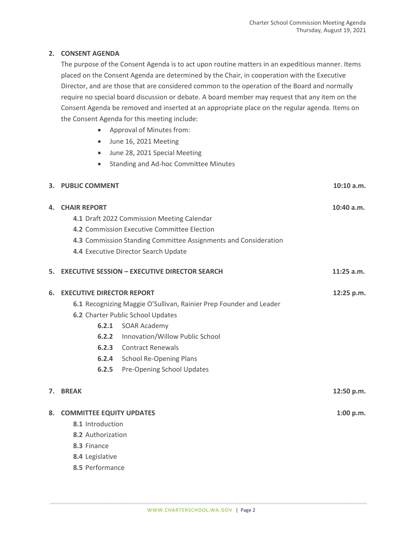## **2. CONSENT AGENDA**

The purpose of the Consent Agenda is to act upon routine matters in an expeditious manner. Items placed on the Consent Agenda are determined by the Chair, in cooperation with the Executive Director, and are those that are considered common to the operation of the Board and normally require no special board discussion or debate. A board member may request that any item on the Consent Agenda be removed and inserted at an appropriate place on the regular agenda. Items on the Consent Agenda for this meeting include:

- Approval of Minutes from:
- June 16, 2021 Meeting
- June 28, 2021 Special Meeting
- Standing and Ad-hoc Committee Minutes

|    | 3. PUBLIC COMMENT                                                                                          |                                                                                                                                                                                                                                                              | $10:10$ a.m. |
|----|------------------------------------------------------------------------------------------------------------|--------------------------------------------------------------------------------------------------------------------------------------------------------------------------------------------------------------------------------------------------------------|--------------|
| 4. | <b>CHAIR REPORT</b>                                                                                        | 4.1 Draft 2022 Commission Meeting Calendar<br>4.2 Commission Executive Committee Election<br>4.3 Commission Standing Committee Assignments and Consideration<br>4.4 Executive Director Search Update                                                         | $10:40$ a.m. |
| 5. |                                                                                                            | <b>EXECUTIVE SESSION - EXECUTIVE DIRECTOR SEARCH</b>                                                                                                                                                                                                         | $11:25$ a.m. |
| 6. | <b>EXECUTIVE DIRECTOR REPORT</b><br>6.2.1<br>6.2.2<br>6.2.3<br>6.2.5                                       | 6.1 Recognizing Maggie O'Sullivan, Rainier Prep Founder and Leader<br>6.2 Charter Public School Updates<br><b>SOAR Academy</b><br>Innovation/Willow Public School<br><b>Contract Renewals</b><br>6.2.4 School Re-Opening Plans<br>Pre-Opening School Updates | 12:25 p.m.   |
| 7. | <b>BREAK</b>                                                                                               |                                                                                                                                                                                                                                                              | 12:50 p.m.   |
| 8. | <b>COMMITTEE EQUITY UPDATES</b><br>8.1 Introduction<br>8.2 Authorization<br>8.3 Finance<br>8.4 Legislative |                                                                                                                                                                                                                                                              | 1:00 p.m.    |

**8.5** Performance